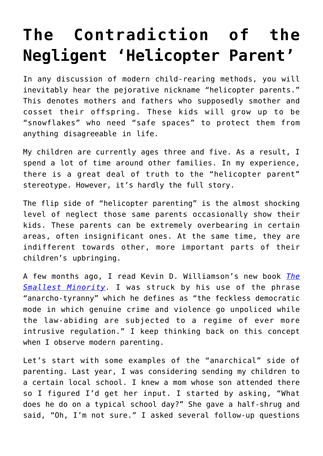## **[The Contradiction of the](https://intellectualtakeout.org/2019/12/the-contradiction-of-the-negligent-helicopter-parent/) [Negligent 'Helicopter Parent'](https://intellectualtakeout.org/2019/12/the-contradiction-of-the-negligent-helicopter-parent/)**

In any discussion of modern child-rearing methods, you will inevitably hear the pejorative nickname "helicopter parents." This denotes mothers and fathers who supposedly smother and cosset their offspring. These kids will grow up to be "snowflakes" who need "safe spaces" to protect them from anything disagreeable in life.

My children are currently ages three and five. As a result, I spend a lot of time around other families. In my experience, there is a great deal of truth to the "helicopter parent" stereotype. However, it's hardly the full story.

The flip side of "helicopter parenting" is the almost shocking level of neglect those same parents occasionally show their kids. These parents can be extremely overbearing in certain areas, often insignificant ones. At the same time, they are indifferent towards other, more important parts of their children's upbringing.

A few months ago, I read Kevin D. Williamson's new book *[The](https://www.amazon.com/gp/product/1621579689/ref=as_li_qf_asin_il_tl?ie=UTF8&tag=intelltakeo0d-20&creative=9325&linkCode=as2&creativeASIN=1621579689&linkId=07b817e0dcb09327a331b053dc5d473a) [Smallest Minority.](https://www.amazon.com/gp/product/1621579689/ref=as_li_qf_asin_il_tl?ie=UTF8&tag=intelltakeo0d-20&creative=9325&linkCode=as2&creativeASIN=1621579689&linkId=07b817e0dcb09327a331b053dc5d473a)* I was struck by his use of the phrase "anarcho-tyranny" which he defines as "the feckless democratic mode in which genuine crime and violence go unpoliced while the law-abiding are subjected to a regime of ever more intrusive regulation." I keep thinking back on this concept when I observe modern parenting.

Let's start with some examples of the "anarchical" side of parenting. Last year, I was considering sending my children to a certain local school. I knew a mom whose son attended there so I figured I'd get her input. I started by asking, "What does he do on a typical school day?" She gave a half-shrug and said, "Oh, I'm not sure." I asked several follow-up questions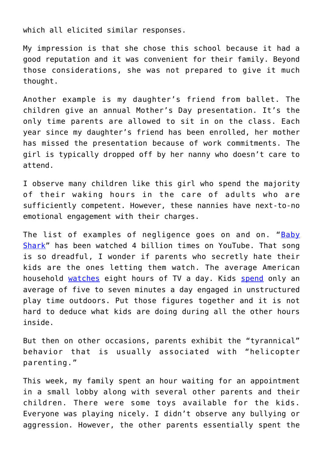which all elicited similar responses.

My impression is that she chose this school because it had a good reputation and it was convenient for their family. Beyond those considerations, she was not prepared to give it much thought.

Another example is my daughter's friend from ballet. The children give an annual Mother's Day presentation. It's the only time parents are allowed to sit in on the class. Each year since my daughter's friend has been enrolled, her mother has missed the presentation because of work commitments. The girl is typically dropped off by her nanny who doesn't care to attend.

I observe many children like this girl who spend the majority of their waking hours in the care of adults who are sufficiently competent. However, these nannies have next-to-no emotional engagement with their charges.

The list of examples of negligence goes on and on. "[Baby](https://www.youtube.com/watch?v=XqZsoesa55w) [Shark](https://www.youtube.com/watch?v=XqZsoesa55w)" has been watched 4 billion times on YouTube. That song is so dreadful, I wonder if parents who secretly hate their kids are the ones letting them watch. The average American household [watches](https://www.theatlantic.com/technology/archive/2018/05/when-did-tv-watching-peak/561464/) eight hours of TV a day. Kids [spend](https://news.sanfordhealth.org/childrens/play-outside/) only an average of five to seven minutes a day engaged in unstructured play time outdoors. Put those figures together and it is not hard to deduce what kids are doing during all the other hours inside.

But then on other occasions, parents exhibit the "tyrannical" behavior that is usually associated with "helicopter parenting."

This week, my family spent an hour waiting for an appointment in a small lobby along with several other parents and their children. There were some toys available for the kids. Everyone was playing nicely. I didn't observe any bullying or aggression. However, the other parents essentially spent the